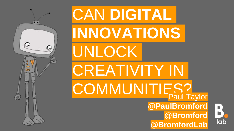

# CAN **DIGITAL INNOVATIONS** UNLOCK CREATIVITY IN COMMUNITIES? **@PaulBromford @Bromford @BromfordLab**

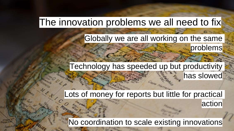## The innovation problems we all need to fix

## Globally we are all working on the same

## Technology has speeded up but productivity

has slowed

action

problems

## Lots of money for reports but little for practical

No coordination to scale existing innovations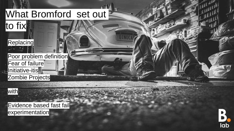## What Bromford set out

## **Replacing**

to fix

Poor problem definition Fear of failure Linitiative-itis Zombie Projects



Evidence based fast fail experimentation

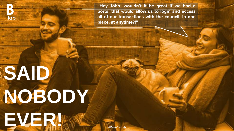**"Hey John, wouldn't it be great if we had a portal that would allow us to login and access all of our transactions with the council, in one place, at anytime?!"**

# **SAID NOBODY EVER!**

lab

**@BromfordLab**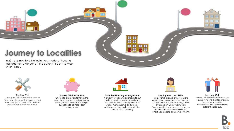## **Journey to Localities**

In 2014/15 Bromford trialled a new model of housing management. We gave it the catchy title of "Service Offer Pilots".

**Starting Well** Starting Well offered intensive face to face coaching to customers who need the most support to get off to the best possible start in their new home.



#### **Money Advice Service**

Offered to all new customers in the pilot, the service provided a range of money advice services from simple budgeting to complex debt management.



**38 BS** 田田

#### **Assertive Housing Management**

A proactive coaching approach to our relationship with new customers based on individual need and aspirations as well as more assertive and prompt action where the relationship with the customer is not working.



#### **Employment and Skills**

This covered a range of interventions across all of our areas of operation; the Connect Hub, 121 skills coaching, work clubs and an Employability Skills Programme that supported customers to develop their work related skills and where appropriate, enter employment.



88 S.C. S FFI.

#### **Leaving Well**

To help Lichfield customers who are leaving us to end their tenancies in the best way possible. Each service was delivered by a different colleague.

lab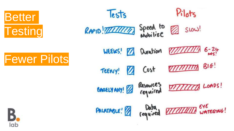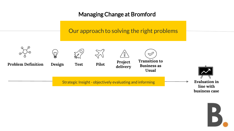### Managing Change at Bromford

## Our approach to solving the right problems



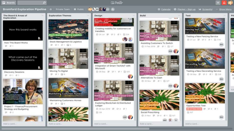$\Omega$ 

 $I$  Trello

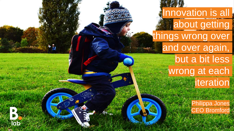**Innovation is all about getting** things wrong over and over again, but a bit less wrong at each **iteration** 

lab

Philippa Jones CEO Bromford